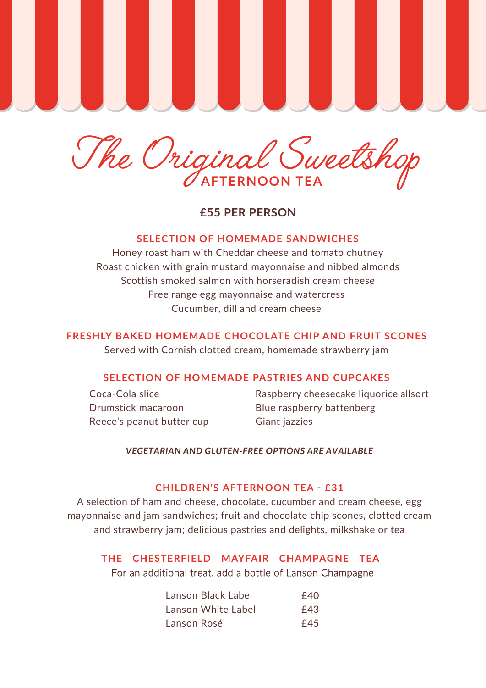

 **£55 PER PERSON**

## **SELECTION OF HOMEMADE SANDWICHES**

Honey roast ham with Cheddar cheese and tomato chutney Roast chicken with grain mustard mayonnaise and nibbed almonds Scottish smoked salmon with horseradish cream cheese Free range egg mayonnaise and watercress Cucumber, dill and cream cheese

# **FRESHLY BAKED HOMEMADE CHOCOLATE CHIP AND FRUIT SCONES**

Served with Cornish clotted cream, homemade strawberry jam

## **SELECTION OF HOMEMADE PASTRIES AND CUPCAKES**

Coca-Cola slice Drumstick macaroon Reece's peanut butter cup

Raspberry cheesecake liquorice allsort Blue raspberry battenberg Giant jazzies

## *VEGETARIAN AND GLUTEN-FREE OPTIONS ARE AVAILABLE*

## **CHILDREN'S AFTERNOON TEA - £31**

A selection of ham and cheese, chocolate, cucumber and cream cheese, egg mayonnaise and jam sandwiches; fruit and chocolate chip scones, clotted cream and strawberry jam; delicious pastries and delights, milkshake or tea

# **THE CHESTERFIELD MAYFAIR CHAMPAGNE TEA**  For an additional treat, add a bottle of Lanson Champagne

| Lanson Black Label | £40 |
|--------------------|-----|
| Lanson White Label | £43 |
| Lanson Rosé        | £45 |